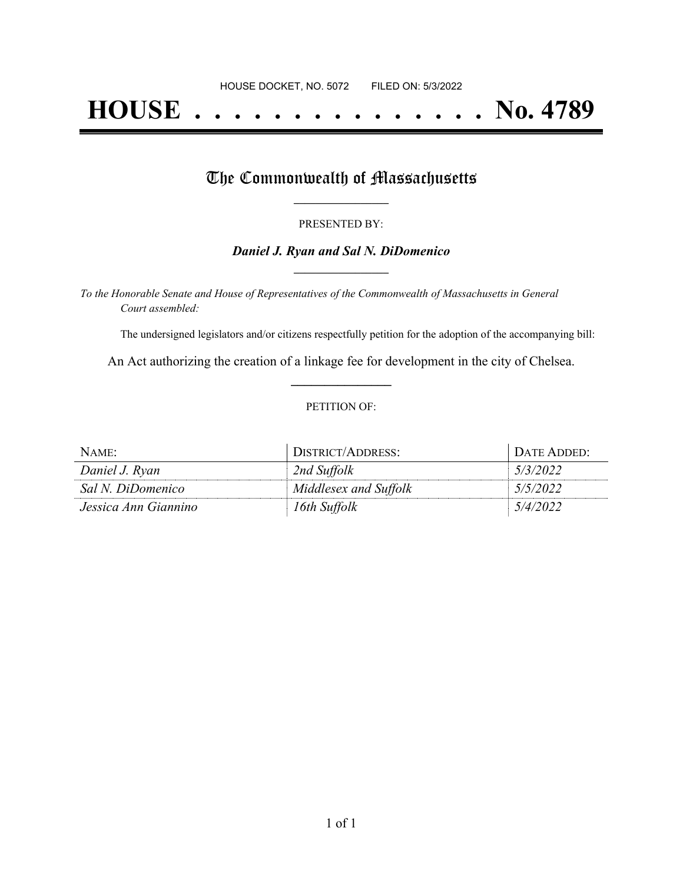# **HOUSE . . . . . . . . . . . . . . . No. 4789**

## The Commonwealth of Massachusetts

#### PRESENTED BY:

#### *Daniel J. Ryan and Sal N. DiDomenico* **\_\_\_\_\_\_\_\_\_\_\_\_\_\_\_\_\_**

*To the Honorable Senate and House of Representatives of the Commonwealth of Massachusetts in General Court assembled:*

The undersigned legislators and/or citizens respectfully petition for the adoption of the accompanying bill:

An Act authorizing the creation of a linkage fee for development in the city of Chelsea. **\_\_\_\_\_\_\_\_\_\_\_\_\_\_\_**

#### PETITION OF:

| NAME:                | DISTRICT/ADDRESS:     | DATE ADDED: |
|----------------------|-----------------------|-------------|
| Daniel J. Ryan       | 2nd Suffolk           | 5/3/2022    |
| Sal N. DiDomenico    | Middlesex and Suffolk | 5/5/2022    |
| Jessica Ann Giannino | 16th Suffolk          | 5/4/2022    |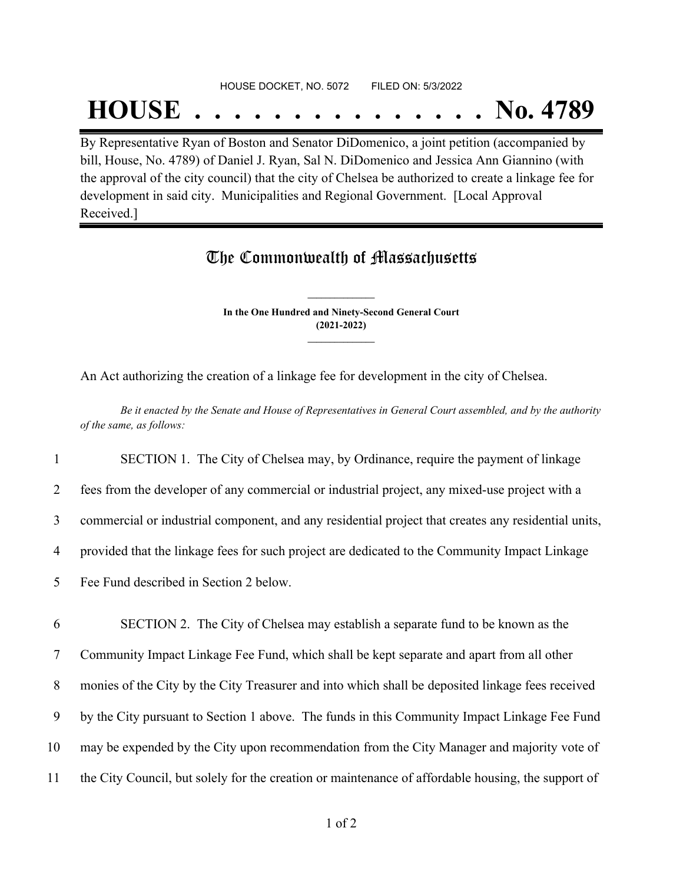## HOUSE DOCKET, NO. 5072 FILED ON: 5/3/2022

## **HOUSE . . . . . . . . . . . . . . . No. 4789**

By Representative Ryan of Boston and Senator DiDomenico, a joint petition (accompanied by bill, House, No. 4789) of Daniel J. Ryan, Sal N. DiDomenico and Jessica Ann Giannino (with the approval of the city council) that the city of Chelsea be authorized to create a linkage fee for development in said city. Municipalities and Regional Government. [Local Approval Received.]

## The Commonwealth of Massachusetts

**In the One Hundred and Ninety-Second General Court (2021-2022) \_\_\_\_\_\_\_\_\_\_\_\_\_\_\_**

**\_\_\_\_\_\_\_\_\_\_\_\_\_\_\_**

An Act authorizing the creation of a linkage fee for development in the city of Chelsea.

Be it enacted by the Senate and House of Representatives in General Court assembled, and by the authority *of the same, as follows:*

1 SECTION 1. The City of Chelsea may, by Ordinance, require the payment of linkage

2 fees from the developer of any commercial or industrial project, any mixed-use project with a

3 commercial or industrial component, and any residential project that creates any residential units,

4 provided that the linkage fees for such project are dedicated to the Community Impact Linkage

5 Fee Fund described in Section 2 below.

 SECTION 2. The City of Chelsea may establish a separate fund to be known as the Community Impact Linkage Fee Fund, which shall be kept separate and apart from all other monies of the City by the City Treasurer and into which shall be deposited linkage fees received by the City pursuant to Section 1 above. The funds in this Community Impact Linkage Fee Fund may be expended by the City upon recommendation from the City Manager and majority vote of the City Council, but solely for the creation or maintenance of affordable housing, the support of